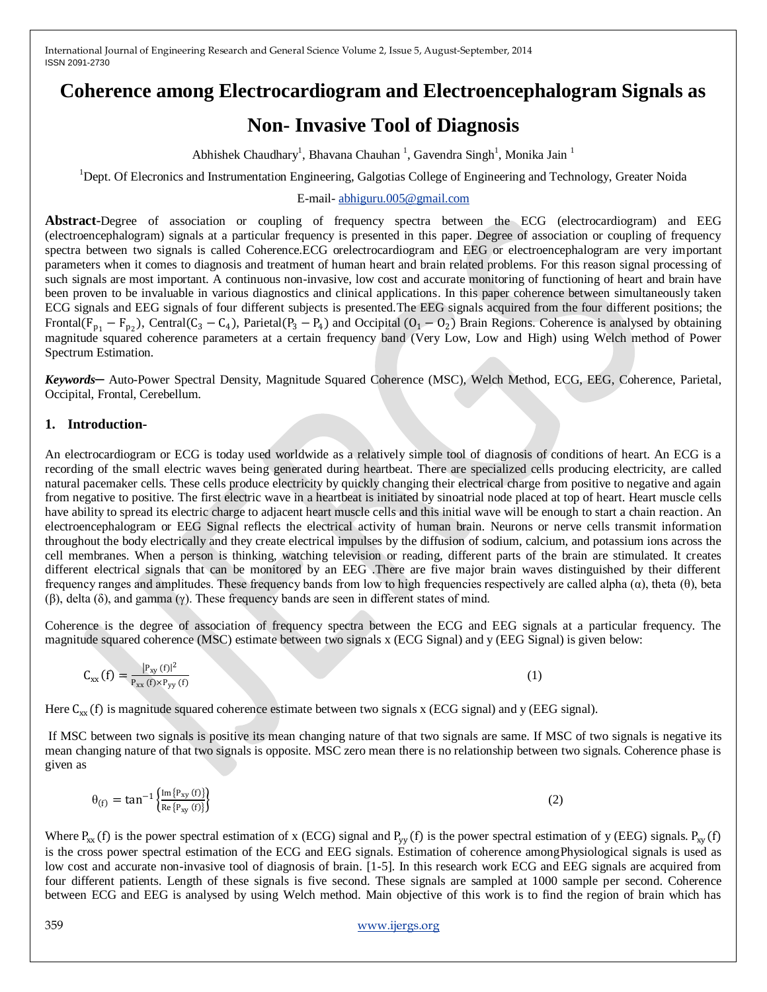## **Coherence among Electrocardiogram and Electroencephalogram Signals as**

# **Non- Invasive Tool of Diagnosis**

Abhishek Chaudhary<sup>1</sup>, Bhavana Chauhan<sup>1</sup>, Gavendra Singh<sup>1</sup>, Monika Jain<sup>1</sup>

<sup>1</sup>Dept. Of Elecronics and Instrumentation Engineering, Galgotias College of Engineering and Technology, Greater Noida

#### E-mail- [abhiguru.005@gmail.com](mailto:abhiguru.005@gmail.com)

**Abstract***-*Degree of association or coupling of frequency spectra between the ECG (electrocardiogram) and EEG (electroencephalogram) signals at a particular frequency is presented in this paper. Degree of association or coupling of frequency spectra between two signals is called Coherence.ECG orelectrocardiogram and EEG or electroencephalogram are very important parameters when it comes to diagnosis and treatment of human heart and brain related problems. For this reason signal processing of such signals are most important. A continuous non-invasive, low cost and accurate monitoring of functioning of heart and brain have been proven to be invaluable in various diagnostics and clinical applications. In this paper coherence between simultaneously taken ECG signals and EEG signals of four different subjects is presented.The EEG signals acquired from the four different positions; the Frontal( $F_{p_1} - F_{p_2}$ ), Central( $C_3 - C_4$ ), Parietal( $P_3 - P_4$ ) and Occipital ( $O_1 - O_2$ ) Brain Regions. Coherence is analysed by obtaining magnitude squared coherence parameters at a certain frequency band (Very Low, Low and High) using Welch method of Power Spectrum Estimation.

*Keywords─* Auto-Power Spectral Density, Magnitude Squared Coherence (MSC), Welch Method, ECG, EEG, Coherence, Parietal, Occipital, Frontal, Cerebellum.

#### **1. Introduction-**

An electrocardiogram or ECG is today used worldwide as a relatively simple tool of diagnosis of conditions of heart. An ECG is a recording of the small electric waves being generated during heartbeat. There are specialized cells producing electricity, are called natural pacemaker cells. These cells produce electricity by quickly changing their electrical charge from positive to negative and again from negative to positive. The first electric wave in a heartbeat is initiated by sinoatrial node placed at top of heart. Heart muscle cells have ability to spread its electric charge to adjacent heart muscle cells and this initial wave will be enough to start a chain reaction. An electroencephalogram or EEG Signal reflects the electrical activity of human brain. Neurons or nerve cells transmit information throughout the body electrically and they create electrical impulses by the diffusion of sodium, calcium, and potassium ions across the cell membranes. When a person is thinking, watching television or reading, different parts of the brain are stimulated. It creates different electrical signals that can be monitored by an EEG .There are five major brain waves distinguished by their different frequency ranges and amplitudes. These frequency bands from low to high frequencies respectively are called alpha (α), theta (θ), beta (β), delta (δ), and gamma (γ). These frequency bands are seen in different states of mind.

Coherence is the degree of association of frequency spectra between the ECG and EEG signals at a particular frequency. The magnitude squared coherence (MSC) estimate between two signals x (ECG Signal) and y (EEG Signal) is given below:

$$
C_{xx}(f) = \frac{|P_{xy}(f)|^2}{P_{xx}(f) \times P_{yy}(f)}
$$
(1)

Here  $C_{xx}(f)$  is magnitude squared coherence estimate between two signals x (ECG signal) and y (EEG signal).

If MSC between two signals is positive its mean changing nature of that two signals are same. If MSC of two signals is negative its mean changing nature of that two signals is opposite. MSC zero mean there is no relationship between two signals. Coherence phase is given as

$$
\theta_{(f)} = \tan^{-1} \left\{ \frac{\text{Im} \{ P_{xy}(f) \}}{\text{Re} \{ P_{xy}(f) \}} \right\} \tag{2}
$$

Where  $P_{xx}$  (f) is the power spectral estimation of x (ECG) signal and  $P_{yy}$  (f) is the power spectral estimation of y (EEG) signals.  $P_{xy}$  (f) is the cross power spectral estimation of the ECG and EEG signals. Estimation of coherence amongPhysiological signals is used as low cost and accurate non-invasive tool of diagnosis of brain. [1-5]. In this research work ECG and EEG signals are acquired from four different patients. Length of these signals is five second. These signals are sampled at 1000 sample per second. Coherence between ECG and EEG is analysed by using Welch method. Main objective of this work is to find the region of brain which has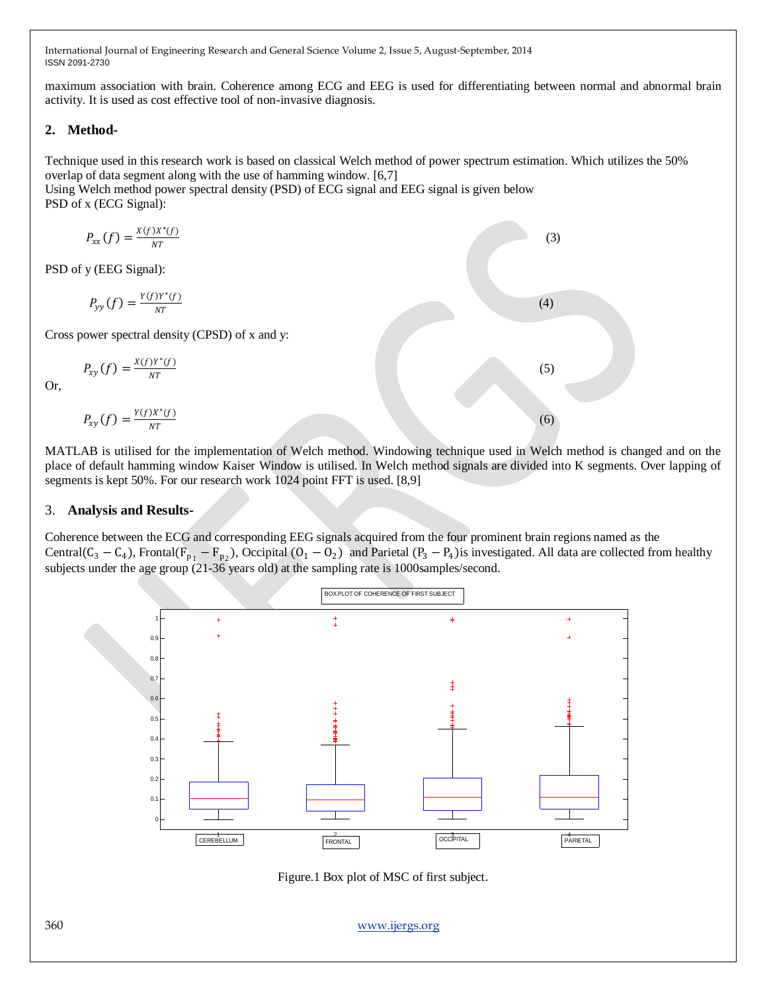maximum association with brain. Coherence among ECG and EEG is used for differentiating between normal and abnormal brain activity. It is used as cost effective tool of non-invasive diagnosis.

#### **2. Method-**

Technique used in this research work is based on classical Welch method of power spectrum estimation. Which utilizes the 50% overlap of data segment along with the use of hamming window. [6,7]

 $(4)$ 

Using Welch method power spectral density (PSD) of ECG signal and EEG signal is given below PSD of x (ECG Signal):

$$
P_{xx}(f) = \frac{x(f)x^*(f)}{NT}
$$
  
of y (EEG Signal):  

$$
P_{yy}(f) = \frac{y(f)y^*(f)}{NT}
$$
 (3)

Cross power spectral density (CPSD) of x and y:

 $_{NT}$ 

$$
P_{xy}(f) = \frac{x(f)Y^*(f)}{NT} \tag{5}
$$

Or,

PS<sub>D</sub>

$$
P_{xy}(f) = \frac{Y(f)X^*(f)}{NT}
$$
 (6)

MATLAB is utilised for the implementation of Welch method. Windowing technique used in Welch method is changed and on the place of default hamming window Kaiser Window is utilised. In Welch method signals are divided into K segments. Over lapping of segments is kept 50%. For our research work 1024 point FFT is used. [8,9]

#### 3. **Analysis and Results-**

Coherence between the ECG and corresponding EEG signals acquired from the four prominent brain regions named as the Central(C<sub>3</sub> – C<sub>4</sub>), Frontal(F<sub>p<sub>1</sub></sub> – F<sub>p<sub>2</sub>), Occipital (O<sub>1</sub> – O<sub>2</sub>) and Parietal (P<sub>3</sub> – P<sub>4</sub>) is investigated. All data are collected from healthy</sub> subjects under the age group (21-36 years old) at the sampling rate is 1000samples/second.



Figure.1 Box plot of MSC of first subject.

360 [www.ijergs.org](http://www.ijergs.org/)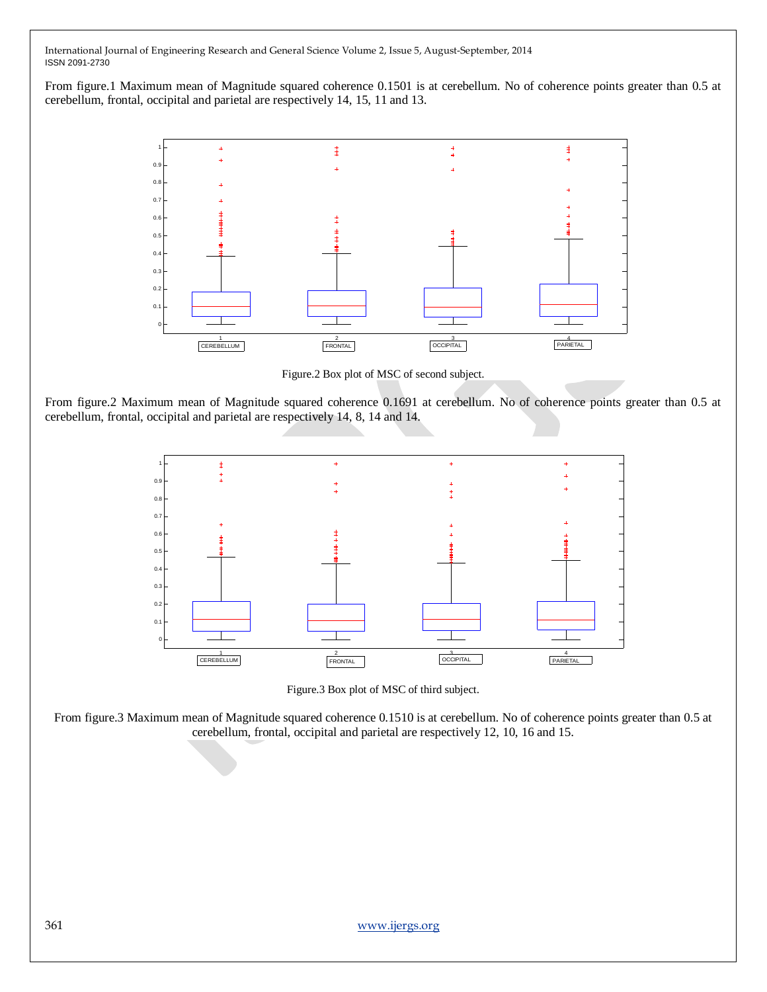From figure.1 Maximum mean of Magnitude squared coherence 0.1501 is at cerebellum. No of coherence points greater than 0.5 at cerebellum, frontal, occipital and parietal are respectively 14, 15, 11 and 13.



Figure.2 Box plot of MSC of second subject.

From figure.2 Maximum mean of Magnitude squared coherence 0.1691 at cerebellum. No of coherence points greater than 0.5 at cerebellum, frontal, occipital and parietal are respectively 14, 8, 14 and 14.



Figure.3 Box plot of MSC of third subject.

From figure.3 Maximum mean of Magnitude squared coherence 0.1510 is at cerebellum. No of coherence points greater than 0.5 at cerebellum, frontal, occipital and parietal are respectively 12, 10, 16 and 15.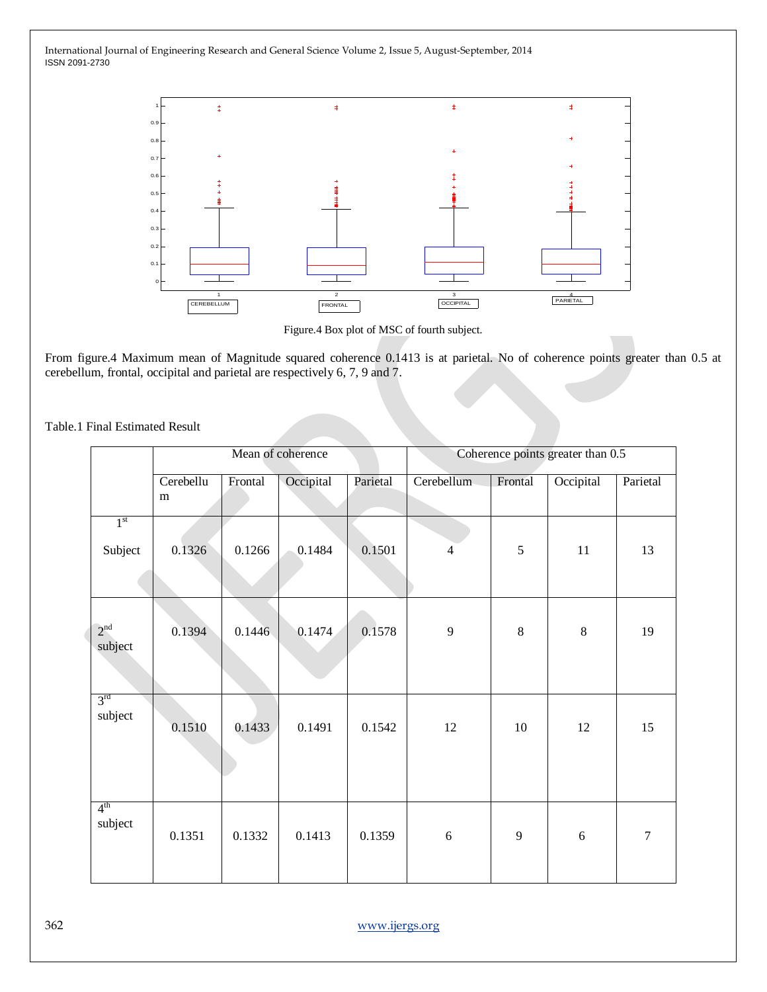

Figure.4 Box plot of MSC of fourth subject.

From figure.4 Maximum mean of Magnitude squared coherence 0.1413 is at parietal. No of coherence points greater than 0.5 at cerebellum, frontal, occipital and parietal are respectively 6, 7, 9 and 7.

Table.1 Final Estimated Result

|                            | Mean of coherence |         |           |          | Coherence points greater than 0.5 |         |           |          |
|----------------------------|-------------------|---------|-----------|----------|-----------------------------------|---------|-----------|----------|
|                            | Cerebellu<br>m    | Frontal | Occipital | Parietal | Cerebellum                        | Frontal | Occipital | Parietal |
| 1 <sup>st</sup><br>Subject | 0.1326            | 0.1266  | 0.1484    | 0.1501   | $\overline{4}$                    | 5       | 11        | 13       |
| 2 <sup>nd</sup><br>subject | 0.1394            | 0.1446  | 0.1474    | 0.1578   | 9                                 | $8\,$   | 8         | 19       |
| 3 <sup>rd</sup><br>subject | 0.1510            | 0.1433  | 0.1491    | 0.1542   | 12                                | 10      | 12        | 15       |
| 4 <sup>th</sup><br>subject | 0.1351            | 0.1332  | 0.1413    | 0.1359   | $\sqrt{6}$                        | 9       | 6         | 7        |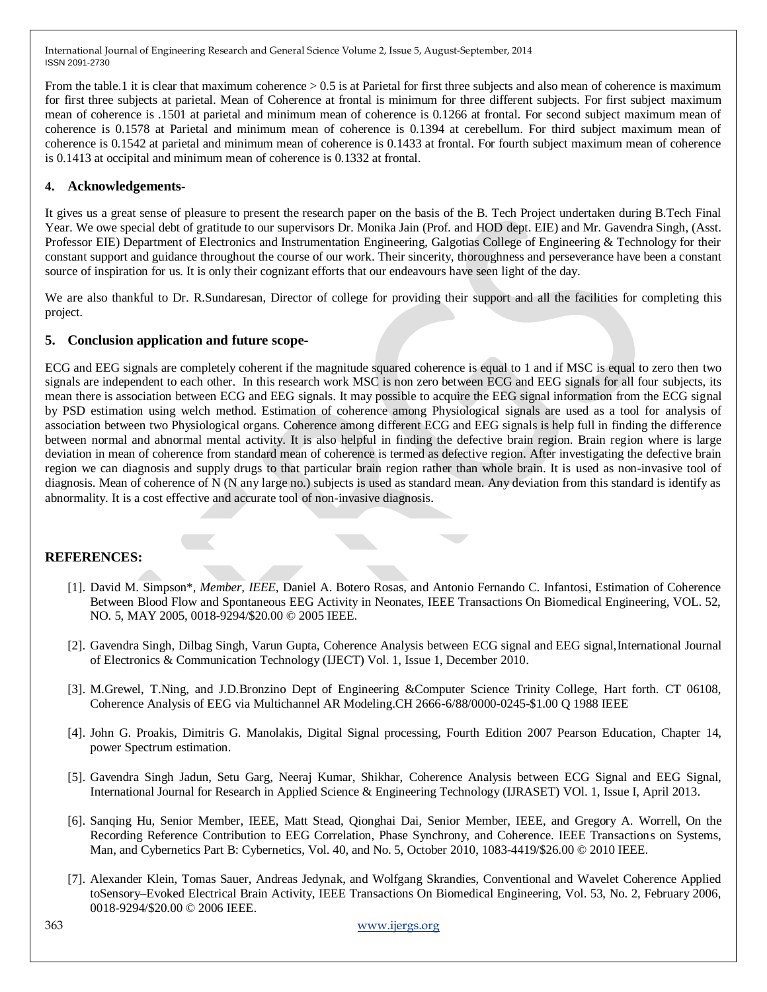From the table.1 it is clear that maximum coherence  $> 0.5$  is at Parietal for first three subjects and also mean of coherence is maximum for first three subjects at parietal. Mean of Coherence at frontal is minimum for three different subjects. For first subject maximum mean of coherence is .1501 at parietal and minimum mean of coherence is 0.1266 at frontal. For second subject maximum mean of coherence is 0.1578 at Parietal and minimum mean of coherence is 0.1394 at cerebellum. For third subject maximum mean of coherence is 0.1542 at parietal and minimum mean of coherence is 0.1433 at frontal. For fourth subject maximum mean of coherence is 0.1413 at occipital and minimum mean of coherence is 0.1332 at frontal.

## **4. Acknowledgements-**

It gives us a great sense of pleasure to present the research paper on the basis of the B. Tech Project undertaken during B.Tech Final Year. We owe special debt of gratitude to our supervisors Dr. Monika Jain (Prof. and HOD dept. EIE) and Mr. Gavendra Singh, (Asst. Professor EIE) Department of Electronics and Instrumentation Engineering, Galgotias College of Engineering & Technology for their constant support and guidance throughout the course of our work. Their sincerity, thoroughness and perseverance have been a constant source of inspiration for us. It is only their cognizant efforts that our endeavours have seen light of the day*.*

We are also thankful to Dr. R.Sundaresan, Director of college for providing their support and all the facilities for completing this project.

## **5. Conclusion application and future scope-**

ECG and EEG signals are completely coherent if the magnitude squared coherence is equal to 1 and if MSC is equal to zero then two signals are independent to each other. In this research work MSC is non zero between ECG and EEG signals for all four subjects, its mean there is association between ECG and EEG signals. It may possible to acquire the EEG signal information from the ECG signal by PSD estimation using welch method. Estimation of coherence among Physiological signals are used as a tool for analysis of association between two Physiological organs. Coherence among different ECG and EEG signals is help full in finding the difference between normal and abnormal mental activity. It is also helpful in finding the defective brain region. Brain region where is large deviation in mean of coherence from standard mean of coherence is termed as defective region. After investigating the defective brain region we can diagnosis and supply drugs to that particular brain region rather than whole brain. It is used as non-invasive tool of diagnosis. Mean of coherence of N (N any large no.) subjects is used as standard mean. Any deviation from this standard is identify as abnormality. It is a cost effective and accurate tool of non-invasive diagnosis.

## **REFERENCES:**

- [1]. David M. Simpson\**, Member, IEEE*, Daniel A. Botero Rosas, and Antonio Fernando C. Infantosi, Estimation of Coherence Between Blood Flow and Spontaneous EEG Activity in Neonates, IEEE Transactions On Biomedical Engineering, VOL. 52, NO. 5, MAY 2005, 0018-9294/\$20.00 © 2005 IEEE.
- [2]. Gavendra Singh, Dilbag Singh, Varun Gupta, Coherence Analysis between ECG signal and EEG signal,International Journal of Electronics & Communication Technology (IJECT) Vol. 1, Issue 1, December 2010.
- [3]. M.Grewel, T.Ning, and J.D.Bronzino Dept of Engineering &Computer Science Trinity College, Hart forth. CT 06108, Coherence Analysis of EEG via Multichannel AR Modeling.CH 2666-6/88/0000-0245-\$1.00 Q 1988 IEEE
- [4]. John G. Proakis, Dimitris G. Manolakis, Digital Signal processing, Fourth Edition 2007 Pearson Education, Chapter 14, power Spectrum estimation.
- [5]. Gavendra Singh Jadun, Setu Garg, Neeraj Kumar, Shikhar, Coherence Analysis between ECG Signal and EEG Signal, International Journal for Research in Applied Science & Engineering Technology (IJRASET) VOl. 1, Issue I, April 2013.
- [6]. Sanqing Hu, Senior Member, IEEE, Matt Stead, Qionghai Dai, Senior Member, IEEE, and Gregory A. Worrell, On the Recording Reference Contribution to EEG Correlation, Phase Synchrony, and Coherence. IEEE Transactions on Systems, Man, and Cybernetics Part B: Cybernetics, Vol. 40, and No. 5, October 2010, 1083-4419/\$26.00 © 2010 IEEE.
- [7]. Alexander Klein, Tomas Sauer, Andreas Jedynak, and Wolfgang Skrandies, Conventional and Wavelet Coherence Applied toSensory–Evoked Electrical Brain Activity, IEEE Transactions On Biomedical Engineering, Vol. 53, No. 2, February 2006, 0018-9294/\$20.00 © 2006 IEEE.